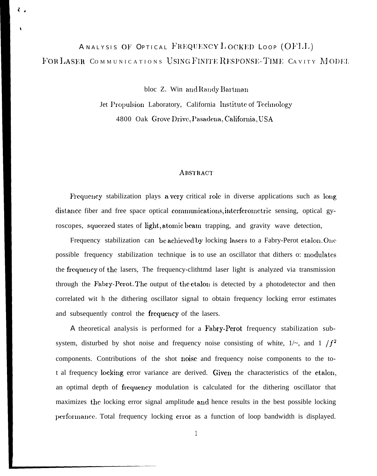# ANALYSIS OF OPTICAL FREQUENCY LOCKED LOOP (OFLL) FOR LASER COMMUNICATIONS USING FINITE RESPONSE-TIME CAVITY MODEL

 $\langle$  .

bloc Z. Win and Randy Bartman

Jet Propulsion Laboratory, California Institute of Technology 4800 Oak Grove Drive, Pasadena, California, USA

#### **ABSTRACT**

Frequency stabilization plays a very critical role in diverse applications such as long distance fiber and free space optical communications, interferometric sensing, optical gyroscopes, squeezed states of light, atomic beam trapping, and gravity wave detection,

Frequency stabilization can be achieved by locking lasers to a Fabry-Perot etalon. One possible frequency stabilization technique is to use an oscillator that dithers o: modulates the frequency of the lasers, The frequency-clithtmd laser light is analyzed via transmission through the Fabry-Perot. The output of the etalon is detected by a photodetector and then correlated wit h the dithering oscillator signal to obtain frequency locking error estimates and subsequently control the frequency of the lasers.

A theoretical analysis is performed for a Fabry-Perot frequency stabilization subsystem, disturbed by shot noise and frequency noise consisting of white,  $1/\sim$ , and  $1/f^2$ components. Contributions of the shot noise and frequency noise components to the tot al frequency locking error variance are derived. Given the characteristics of the etalon, an optimal depth of frequency modulation is calculated for the dithering oscillator that maximizes the locking error signal amplitude and hence results in the best possible locking performance. Total frequency locking error as a function of loop bandwidth is displayed.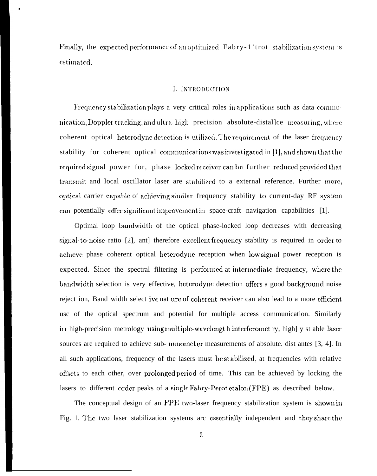Finally, the expected performance of an optimized Fabry-1'trot stabilization system is estimated.

#### I. INTRODUCTION

Frequency stabilization plays a very critical roles in applications such as data communication, Doppler tracking, and ultra-high precision absolute-distalle measuring, where coherent optical heterodyne detection is utilized. The requirement of the laser frequency stability for coherent optical communications was investigated in [1], and shown that the required signal power for, phase locked receiver can be further reduced provided that transmit and local oscillator laser are stabilized to a external reference. Further more, optical carrier capable of achieving similar frequency stability to current-day RF system can potentially offer significant improvement in space-craft navigation capabilities [1].

Optimal loop bandwidth of the optical phase-locked loop decreases with decreasing signal-to-noise ratio [2], ant therefore excellent frequency stability is required in order to achieve phase coherent optical heterodyne reception when low signal power reception is expected. Since the spectral filtering is performed at intermediate frequency, where the bandwidth selection is very effective, heterodyne detection offers a good background noise reject ion, Band width select ive nat ure of coherent receiver can also lead to a more efficient usc of the optical spectrum and potential for multiple access communication. Similarly in high-precision metrology using multiple-wavelengt h interferomet ry, high] y st able laser sources are required to achieve sub- nanomet er measurements of absolute. dist antes [3, 4]. In all such applications, frequency of the lasers must be stabilized, at frequencies with relative offsets to each other, over prolonged period of time. This can be achieved by locking the lasers to different order peaks of a single Fabry-Perot etalon (FPE) as described below.

The conceptual design of an FPE two-laser frequency stabilization system is shown in Fig. 1. The two laser stabilization systems are essentially independent and they share the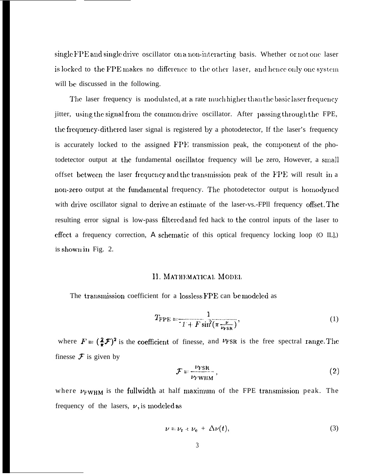single FPE and single drive oscillator on a non-interacting basis. Whether or not one laser is locked to the FPE makes no difference to the other laser, and hence only one system will be discussed in the following.

The laser frequency is modulated, at a rate much higher than the basic laser frequency jitter, using the signal from the common drive oscillator. After passing through the FPE, the frequency-dithered laser signal is registered by a photodetector, If the laser's frequency is accurately locked to the assigned  $\text{FPE}$  transmission peak, the component of the photodetector output at the fundamental oscillator frequency will be zero, However, a small offset between the laser frequency and the transmission peak of the FPE will result in a non-zero output at the fundamental frequency. The photodetector output is homodyned with drive oscillator signal to derive an estimate of the laser-vs.-FPll frequency offset. The resulting error signal is low-pass filtered and fed hack to the control inputs of the laser to  $effect$  a frequency correction, A schematic of this optical frequency locking loop (O IL],) is shown in Fig.  $2$ .

#### II. MATHEMATICAL MODEL

The transmission coefficient for a lossless FPE can be modeled as

$$
T_{\rm FPE} = \frac{1}{I + F \sin^2(\pi \frac{\nu}{\nu_{\rm FSR}})},\tag{1}
$$

where  $F = (\frac{2}{\pi}F)^2$  is the coefficient of finesse, and  $v_{FSR}$  is the free spectral range. The finesse  $\mathcal F$  is given by

$$
\mathcal{F} = \frac{\nu_{\text{FSR}}}{\nu_{\text{FWHM}}},\tag{2}
$$

where  $v_{\text{FWHM}}$  is the fullwidth at half maximum of the FPE transmission peak. The frequency of the lasers,  $\nu$ , is modeled as

$$
\nu = \nu_{\rm r} + \nu_{\rm e} + \Delta \nu(t), \tag{3}
$$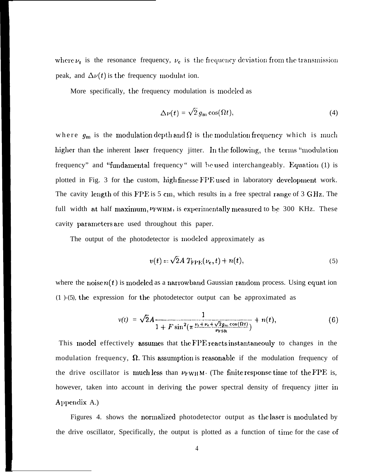where  $\nu_{r}$  is the resonance frequency,  $\nu_{e}$  is the frequency deviation from the transmission peak, and  $\Delta \nu(t)$  is the frequency modulat ion.

More specifically, the frequency modulation is modeled as

$$
\Delta\nu(t) = \sqrt{2} \, g_{\rm m} \cos(\Omega t), \tag{4}
$$

where  $g_{\rm m}$  is the modulation depth and  $\Omega$  is the modulation frequency which is much higher than the inherent laser frequency jitter. In the following, the terms "modulation" frequency" and "fundamental frequency" will be used interchangeably. Equation (1) is plotted in Fig. 3 for the custom, high finesse FPE used in laboratory development work. The cavity length of this FPE is 5 cm, which results in a free spectral range of 3 GHz. The full width at half maximum, *VFWHM*, is experimentally measured to be 300 KHz. These cavity parameters are used throughout this paper.

The output of the photodetector is modeled approximately as

$$
v(t) = \sqrt{2}A T_{\text{FPE}}(\nu_{\text{e}}, t) + n(t), \qquad (5)
$$

where the noise  $n(t)$  is modeled as a narrowband Gaussian random process. Using equation  $(1)$ -(5), the expression for the photodetector output can be approximated as

$$
v(t) = \sqrt{2}A \frac{1}{1 + F \sin^2(\pi \frac{\nu_t + \nu_e + \sqrt{2}g_m \cos(\Omega t)}{\nu_{\rm FSR}})} + n(t),
$$
 (6)

This model effectively assumes that the FPE reacts instantaneouly to changes in the modulation frequency,  $\Omega$ . This assumption is reasonable if the modulation frequency of the drive oscillator is much less than  $\nu_{\rm FWHM}$ . (The finite response time tof the FPE is, however, taken into account in deriving the power spectral density of frequency jitter in Appendix A.)

Figures 4. shows the normalized photodetector output as the laser is modulated by the drive oscillator, Specifically, the output is plotted as a function of time for the case of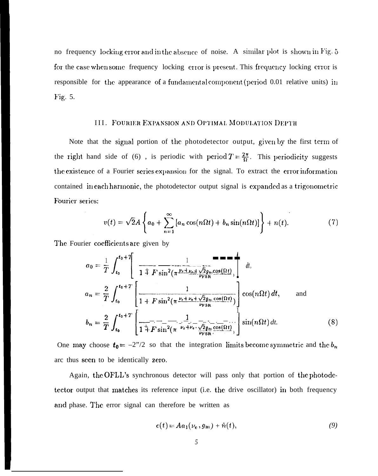no frequency locking error and in the absence of noise. A similar plot is shown in Fig. 5 for the case when some frequency locking error is present. This frequency locking error is responsible for the appearance of a fundamental component (period 0.01 relative units) in Fig. 5.

#### III. FOURIER EXPANSION AND OPTIMAL MODULATION DEPTH

Note that the signal portion of the photodetector output, given by the first term of the right hand side of (6), is periodic with period  $T = \frac{2\pi}{\Omega}$ . This periodicity suggests the existence of a Fourier series expansion for the signal. To extract the error information contained in each harmonic, the photodetector output signal is expanded as a trigonometric Fourier series:

$$
v(t) = \sqrt{2}A\left\{a_0 + \sum_{n=1}^{\infty} \left[a_n \cos(n\Omega t) + b_n \sin(n\Omega t)\right]\right\} + n(t). \tag{7}
$$

The Fourier coefficients are given by

$$
a_0 = \frac{1}{T} \int_{t_0}^{t_0+T} \left[ \frac{1}{1 \pm F \sin^2(\pi \frac{\nu_t + \nu_{\text{d}} \sqrt{2} g_{\text{in}} \cos(\Omega t)}{\nu_{\text{FSR}}}} \right] dt,
$$
  
\n
$$
a_n = \frac{2}{T} \int_{t_0}^{t_0+T} \left[ \frac{1}{1 + F \sin^2(\pi \frac{\nu_t + \nu_{\text{e}} + \sqrt{2} g_{\text{in}} \cos(\Omega t)}{\nu_{\text{FSR}}}} \right] \cos(n\Omega t) dt, \text{ and}
$$
  
\n
$$
b_n = \frac{2}{T} \int_{t_0}^{t_0+T} \left[ \frac{1}{1 \pm F \sin^2(\pi \frac{\nu_t + \nu_{\text{e}} + \sqrt{2} g_{\text{in}} \cos(\Omega t)}{\nu_{\text{FSR}} \sin(\pi \Omega t)} \right] \sin(n\Omega t) dt. \tag{8}
$$

One may choose  $t_0 = -2^{\prime\prime}/2$  so that the integration limits become symmetric and the  $b_n$ arc thus seen to be identically zero.

Again, the OFLL's synchronous detector will pass only that portion of the photodetector output that matches its reference input (i.e. the drive oscillator) in both frequency and phase. The error signal can therefore be written as

$$
c(t) = Aa_1(\nu_e, g_m) + \hat{n}(t), \qquad (9)
$$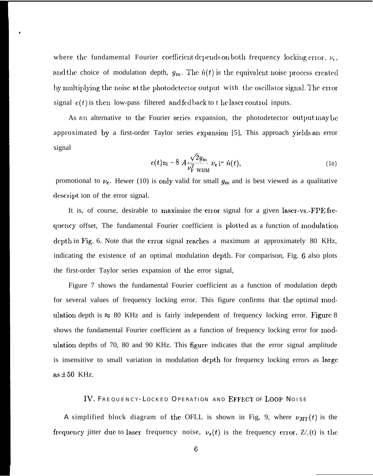where the fundamental Fourier coefficient depends on both frequency locking error,  $\nu_e$ , and the choice of modulation depth,  $g_m$ . The  $\hat{n}(t)$  is the equivalent noise process created by multiplying the noise at the photodetector output with the oscillator signal. The error signal  $\varepsilon(t)$  is then low-pass filtered and fed back to t he laser control inputs.

As an alternative to the Fourier series expansion, the photodetector output may be approximated by a first-order Taylor series expansion [5], This approach yields an error signal

$$
e(t) \approx -8 A \frac{\sqrt{2}g_{\rm m}}{\nu_{\rm F}^2 \text{ with}} \nu_{\rm e} \text{ i}^{\alpha} \hat{n}(t), \tag{10}
$$

promotional to  $\nu_e$ . Hewer (10) is only valid for small  $g_m$  and is best viewed as a qualitative descript ion of the error signal.

It is, of course, desirable to maximize the error signal for a given laser-vs.-FPE frequency offset, The fundamental Fourier coefficient is plotted as a function of modulation depth in Fig. 6. Note that the error signal reaches a maximum at approximately 80 KHz, indicating the existence of an optimal modulation depth. For comparison, Fig. 6 also plots the first-order Taylor series expansion of the error signal,

Figure 7 shows the fundamental Fourier coefficient as a function of modulation depth for several values of frequency locking error. This figure confirms that the optimal modulation depth is  $\approx 80$  KHz and is fairly independent of frequency locking error. Figure 8 shows the fundamental Fourier coefficient as a function of frequency locking error for modulation depths of 70, 80 and 90 KHz. This figure indicates that the error signal amplitude is insensitive to small variation in modulation depth for frequency locking errors as large  $\operatorname{as} \pm 50$  KHz.

#### IV. FREQUENCY-LOCKED OPERATION AND EFFECT OF LOOP NOISE

A simplified block diagram of the OFLL is shown in Fig. 9, where  $\nu_{\text{JIT}}(t)$  is the frequency jitter due to laser frequency noise,  $v_{\epsilon}(t)$  is the frequency error,  $Z_{c}(t)$  is the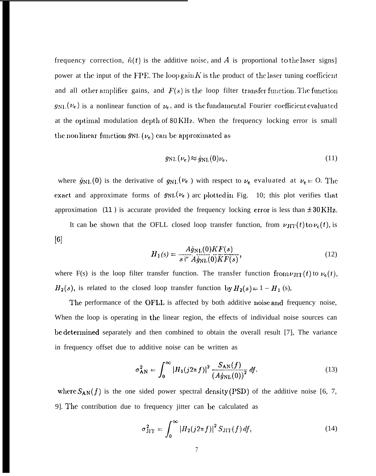frequency correction,  $\hat{n}(t)$  is the additive noise, and A is proportional to the laser signs] power at the input of the FPE. The loop gain  $K$  is the product of the laser tuning coefficient and all other amplifier gains, and  $F(s)$  is the loop filter transfer function. The function  $g_{\text{NL}}(\nu_{e})$  is a nonlinear function of  $\nu_{e}$ , and is the fundamental Fourier coefficient evaluated at the optimal modulation depth of 80 KHz. When the frequency locking error is small the nonlinear function  $g_{NL}(\nu_e)$  can be approximated as

$$
g_{\rm NL}(\nu_{\rm e}) \approx \dot{g}_{\rm NL}(0)\nu_{\rm e},\tag{11}
$$

where  $\dot{g}_{\text{NL}}(0)$  is the derivative of  $g_{\text{NL}}(\nu_{e})$  with respect to  $\nu_{e}$  evaluated at  $\nu_{e} = 0$ . The exact and approximate forms of  $g_{NL}(\nu_{e})$  arc plotted in Fig. 10; this plot verifies that approximation (11) is accurate provided the frequency locking error is less than  $\pm 30$  KHz.

It can be shown that the OFLL closed loop transfer function, from  $\nu_{\text{JIT}}(t)$  to  $\nu_{\text{c}}(t)$ , is [6]

$$
H_1(s) = \frac{A\dot{g}_{\text{NL}}(0)KF(s)}{s^{i*}A\dot{g}_{\text{NL}}(0)KF(s)},
$$
(12)

where F(s) is the loop filter transfer function. The transfer function from  $\nu_{JIT}(t)$  to  $\nu_e(t)$ ,  $H_2(s)$ , is related to the closed loop transfer function by  $H_2(s) = 1 - H_1$  (s),

The performance of the OFLL is affected by both additive noise and frequency noise, When the loop is operating in the linear region, the effects of individual noise sources can be determined separately and then combined to obtain the overall result [7], The variance in frequency offset due to additive noise can be written as

$$
\sigma_{AN}^2 = \int_0^\infty |H_1(j2\pi f)|^2 \frac{S_{AN}(f)}{(A\dot{g}_{NL}(0))^2} df.
$$
 (13)

where  $S_{AN}(f)$  is the one sided power spectral density (PSD) of the additive noise [6, 7, 9]. The contribution due to frequency jitter can be calculated as

$$
\sigma_{\text{JIT}}^2 = \int_0^\infty \left| H_2(j2\pi f) \right|^2 S_{\text{JIT}}(f) \, df,\tag{14}
$$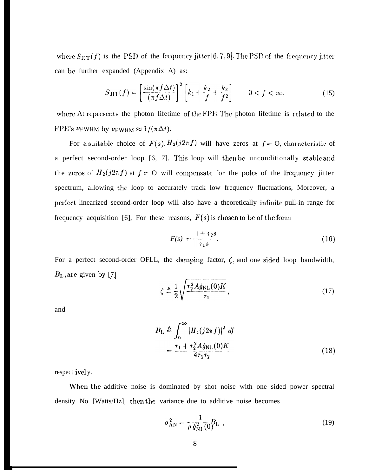where  $S_{\text{JIT}}(f)$  is the PSD of the frequency jitter [6, 7, 9]. The PSD of the frequency jitter can be further expanded (Appendix A) as:

$$
S_{\text{JIT}}(f) = \left[\frac{\sin(\pi f \Delta t)}{(\pi f \Delta t)}\right]^2 \left[k_1 + \frac{k_2}{f} + \frac{k_3}{f^2}\right] \qquad 0 < f < \infty,\tag{15}
$$

where At represents the photon lifetime of the FPE. The photon lifetime is related to the FPE's  $\nu_{\text{FWHM}}$  by  $\nu_{\text{FWHM}} \approx 1/(\pi \Delta t)$ .

For a suitable choice of  $F(s)$ ,  $H_2(j2\pi f)$  will have zeros at  $f=0$ , characteristic of a perfect second-order loop [6, 7]. This loop will then be unconditionally stable and the zeros of  $H_2(j2\pi f)$  at  $f = O$  will compensate for the poles of the frequency jitter spectrum, allowing the loop to accurately track low frequency fluctuations, Moreover, a perfect linearized second-order loop will also have a theoretically infinite pull-in range for frequency acquisition [6], For these reasons,  $F(s)$  is chosen to be of the form

$$
F(s) = \frac{1 + \tau_2 s}{\tau_1 s}.
$$
 (16)

For a perfect second-order OFLL, the damping factor,  $\zeta$ , and one sided loop bandwidth,  $B_{\rm L}$ , are given by [7] . . ~–—..-.\_..———

$$
\zeta \triangleq \frac{1}{2} \sqrt{\frac{\tau_2^2 A \dot{g}_{\text{NL}}(0) K}{\tau_1}},\tag{17}
$$

and

$$
B_{\rm L} \triangleq \int_0^\infty |H_1(j2\pi f)|^2 \, df
$$
  
= 
$$
\frac{\tau_1 + \tau_2^2 A \dot{g}_{\rm NL}(0) K}{4\tau_1 \tau_2}
$$
 (18)

respect ivel y.

When the additive noise is dominated by shot noise with one sided power spectral density No [Watts/Hz], then the variance due to additive noise becomes

$$
\sigma_{AN}^2 = \frac{1}{\rho \dot{g}_{NL}^2(0)} B_L \tag{19}
$$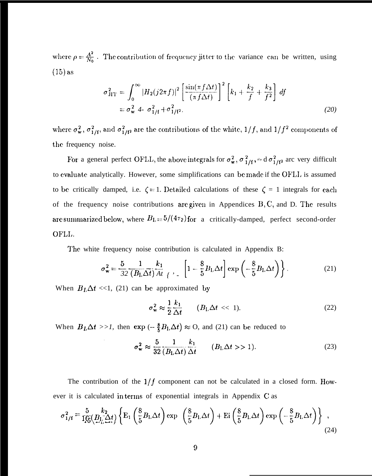where  $\rho = \frac{A^2}{N_0}$ . The contribution of frequency jitter to the variance can be written, using  $(15)$  as

$$
\sigma_{\text{JIT}}^2 = \int_0^\infty |H_2(j2\pi f)|^2 \left[ \frac{\sin(\pi f \Delta t)}{(\pi f \Delta t)} \right]^2 \left[ k_1 + \frac{k_2}{f} + \frac{k_3}{f^2} \right] df
$$
  
=  $\sigma_w^2$  4-  $\sigma_{1/f}^2 + \sigma_{1/f^2}^2$ . (20)

where  $\sigma_w^2$ ,  $\sigma_{1/f}^2$ , and  $\sigma_{1/f}^2$  are the contributions of the white,  $1/f$ , and  $1/f^2$  components of the frequency noise.

For a general perfect OFLL, the above integrals for  $\sigma_w^2$ ,  $\sigma_{1/f}^2$ , and  $\sigma_{1/f}^2$  are very difficult to evaluate analytically. However, some simplifications can be made if the OFLL is assumed to be critically damped, i.e.  $\zeta = 1$ . Detailed calculations of these  $\zeta = 1$  integrals for each of the frequency noise contributions are given in Appendices  $B, C$ , and D. The results are summarized below, where  $B_L = 5/(4\tau_2)$  for a critically-damped, perfect second-order OFLL.

The white frequency noise contribution is calculated in Appendix B:

$$
\sigma_{\mathbf{w}}^2 = \frac{5}{32} \frac{1}{(B_{\text{L}} \Delta t)} \frac{k_1}{At} \Big|_{t=1} = \left[1 - \frac{8}{5} B_{\text{L}} \Delta t\right] \exp\left(-\frac{8}{5} B_{\text{L}} \Delta t\right) \Bigg\} \,. \tag{21}
$$

When  $B_L \Delta t \ll 1$ , (21) can be approximated by

$$
\sigma_{\mathbf{w}}^2 \approx \frac{1}{2} \frac{k_1}{\Delta t} \qquad (B_{\text{L}} \Delta t \ll 1). \tag{22}
$$

When  $B_L \Delta t >> 1$ , then  $\exp(-\frac{8}{5}B_L \Delta t) \approx 0$ , and (21) can be reduced to

$$
\sigma_{\mathbf{w}}^2 \approx \frac{5}{32} \frac{1}{(B_{\mathbf{L}} \Delta t)} \frac{k_1}{\Delta t} \qquad (B_{\mathbf{L}} \Delta t > 1). \tag{23}
$$

The contribution of the  $1/f$  component can not be calculated in a closed form. However it is calculated in terms of exponential integrals in Appendix C as

$$
\sigma_{1/f}^2 = \frac{5}{165} \frac{k_2}{(B_L \Delta t)} \left\{ \mathbf{E}_1 \left( \frac{8}{5} B_L \Delta t \right) \exp \left( \frac{8}{5} B_L \Delta t \right) + \mathbf{E}_1 \left( \frac{8}{5} B_L \Delta t \right) \exp \left( -\frac{8}{5} B_L \Delta t \right) \right\}, \tag{24}
$$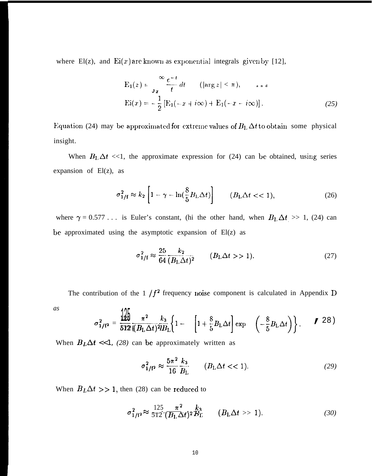where El(z), and Ei(x) are known as exponential integrals given by [12],

$$
E_1(z) = \frac{\infty}{\sigma x} \frac{e^{-t}}{t} dt \qquad (|\arg z| < \pi), \qquad \text{and}
$$
  
\n
$$
E_i(x) = -\frac{1}{2} [E_1(-x + i\infty) + E_1(-x - i\infty)]. \tag{25}
$$

Equation (24) may be approximated for extreme values of  $B<sub>L</sub> \Delta t$  to obtain some physical insight.

When  $B_L \Delta t \ll 1$ , the approximate expression for (24) can be obtained, using series expansion of  $El(z)$ , as

$$
\sigma_{1/f}^2 \approx k_2 \left[ 1 - \gamma - \ln\left(\frac{8}{5} B_{\text{L}} \Delta t\right) \right] \qquad (B_{\text{L}} \Delta t < 1), \tag{26}
$$

where  $\gamma = 0.577...$  is Euler's constant, (hi the other hand, when  $B_1 \Delta t \gg 1$ , (24) can be approximated using the asymptotic expansion of El(z) as

$$
\sigma_{1/I}^2 \approx \frac{25}{64} \frac{k_2}{(B_L \Delta t)^2} \qquad (B_L \Delta t > 1). \tag{27}
$$

The contribution of the 1  $/f<sup>2</sup>$  frequency noise component is calculated in Appendix D

*as*

$$
\sigma_{1/f^2}^2 = \frac{\frac{1}{25}}{\frac{572}{(B_L \Delta t)^2 I B_L}} \left\{ 1 - \left[ 1 + \frac{8}{5} B_L \Delta t \right] \exp \left( -\frac{8}{5} B_L \Delta t \right) \right\}.
$$
 28)

When  $B<sub>L</sub>\Delta t$  <<1, *(28)* can be approximately written as

$$
\sigma_{1/f^2}^2 \approx \frac{5\pi^2}{16} \frac{k_3}{B_{\text{L}}} \qquad (B_{\text{L}}\Delta t < 1). \tag{29}
$$

When  $B_L \Delta t >> 1$ , then (28) can be reduced to

$$
\sigma_{1/I^2}^2 \approx \frac{125}{512} \frac{\pi^2}{(B_L \Delta t)^2} \frac{k_3}{B_L} \qquad (B_L \Delta t \gg 1). \tag{30}
$$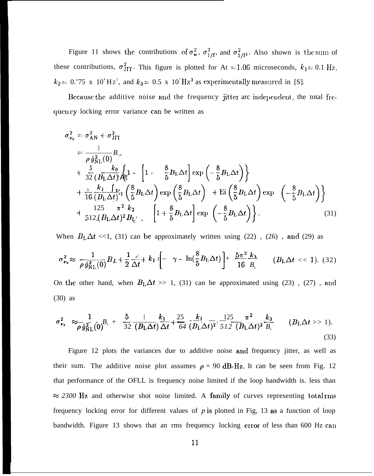Figure 11 shows the contributions of  $\sigma_w^2$ ,  $\sigma_{1/f}^2$ , and  $\sigma_{1/f}^2$ . Also shown is the sum of these contributions,  $\sigma_{\text{JIT}}^2$ . This figure is plotted for At = 1.06 microseconds,  $k_1$  = 0.1 Hz,  $k_2$  = 0.'75 x 10<sup>4</sup>Hz<sup>2</sup>, and  $k_3$  = 0.5 x 10<sup>7</sup>Hz<sup>3</sup> as experimentally measured in [S].

Because the additive noise and the frequency jitter arc independent, the total frequency locking error variance can be written as

$$
\sigma_{\nu_{e}}^{2} = \sigma_{AN}^{2} + \sigma_{JIT}^{2}
$$
\n
$$
= \frac{1}{\rho g_{NL}^{2}(0)} B_{\nu}
$$
\n
$$
+ \frac{5}{32} \frac{k_{0}}{(B_{L} \Delta t)^{3}} \left\{ 1 - \left[ 1 - \frac{8}{5} B_{L} \Delta t \right] \exp\left( -\frac{8}{5} B_{L} \Delta t \right) \right\}
$$
\n
$$
+ \frac{5}{16} \frac{k_{1}}{(B_{L} \Delta t)^{3}} \left\{ \frac{8}{5} B_{L} \Delta t \right\} \exp\left( \frac{8}{5} B_{L} \Delta t \right) + \text{Ei} \left( \frac{8}{5} B_{L} \Delta t \right) \exp\left( -\frac{8}{5} B_{L} \Delta t \right) \right\}
$$
\n
$$
+ \frac{125}{512 (B_{L} \Delta t)^{2} B_{L^{1}}}. \left[ 1 + \frac{8}{5} B_{L} \Delta t \right] \exp\left( -\frac{8}{5} B_{L} \Delta t \right) \right\}. \tag{31}
$$

When  $B_L \Delta t$  <<1, (31) can be approximately written using (22), (26), and (29) as

$$
\sigma_{\nu_e}^2 \approx \frac{1}{\rho \dot{g}_{\text{NL}}^2(0)} B_L + \frac{1}{2} \frac{d}{\Delta t} + k_1 I \left[ -\gamma - \ln(\frac{8}{5} B_L \Delta t) \right] + \frac{5\pi^2}{16} \frac{k_3}{B_L} \qquad (B_L \Delta t \ll 1). \tag{32}
$$

On the other hand, when  $B<sub>L</sub>\Delta t \gg 1$ , (31) can be approximated using (23), (27), and  $(30)$  as

$$
\sigma_{\nu_{e}}^{2} \approx \frac{1}{\rho \dot{g}_{\text{NL}}^{2}(0)} B_{L} + \frac{5}{32} \frac{1}{(B_{\text{L}} \Delta t)} \frac{k_{1}}{\Delta t} + \frac{25}{64} \frac{k_{1}}{(B_{\text{L}} \Delta t)^{2}} \frac{125}{512} \frac{\pi^{2}}{(B_{\text{L}} \Delta t)^{2}} \frac{k_{3}}{B_{L}} \qquad (B_{\text{L}} \Delta t > 1). \tag{33}
$$

Figure 12 plots the variances due to additive noise and frequency jitter, as well as their sum. The additive noise plot assumes  $\rho = 90$  dB-Hz. It can be seen from Fig. 12 that performance of the OFLL is frequency noise limited if the loop bandwidth is. less than  $\approx$  2300 Hz and otherwise shot noise limited. A family of curves representing total rms frequency locking error for different values of  $p$  is plotted in Fig. 13 as a function of loop bandwidth. Figure 13 shows that an rms frequency locking error of less than 600 Hz can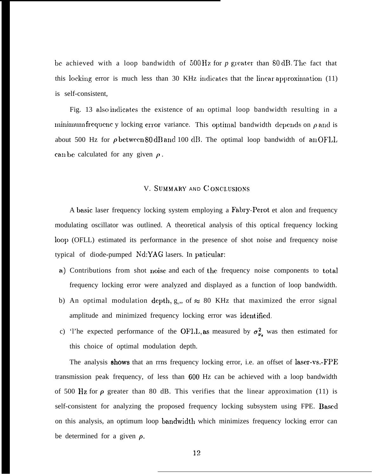be achieved with a loop bandwidth of  $500 \text{ Hz}$  for *p* greater than  $80 \text{ dB}$ . The fact that this locking error is much less than 30 KHz indicates that the linear approximation  $(11)$ is self-consistent,

Fig. 13 also indicates the existence of an optimal loop bandwidth resulting in a minimum frequenc y locking error variance. This optimal bandwidth depends on  $\rho$  and is about 500 Hz for  $\rho$  between 80 dB and 100 dB. The optimal loop bandwidth of an OFLL can be calculated for any given  $\rho$ .

#### V. SUMMARY AND C ONCLUSIONS

A basic laser frequency locking system employing a Fabry-Perot et alon and frequency modulating oscillator was outlined. A theoretical analysis of this optical frequency locking loop (OFLL) estimated its performance in the presence of shot noise and frequency noise typical of diode-pumped Nd:YAG lasers. In paticular:

- a) Contributions from shot noise and each of the frequency noise components to total frequency locking error were analyzed and displayed as a function of loop bandwidth.
- b) An optimal modulation depth,  $g_n$ , of  $\approx 80$  KHz that maximized the error signal amplitude and minimized frequency locking error was identified.
- c) 'l'he expected performance of the OFLL, as measured by  $\sigma_{\nu}^2$ , was then estimated for this choice of optimal modulation depth.

The analysis shows that an rrns frequency locking error, i.e. an offset of laser-vs.-FPE transmission peak frequency, of less than 600 Hz can be achieved with a loop bandwidth of 500 Hz for  $\rho$  greater than 80 dB. This verifies that the linear approximation (11) is self-consistent for analyzing the proposed frequency locking subsystem using FPE. Based on this analysis, an optimum loop bandwidth which minimizes frequency locking error can be determined for a given  $\rho$ .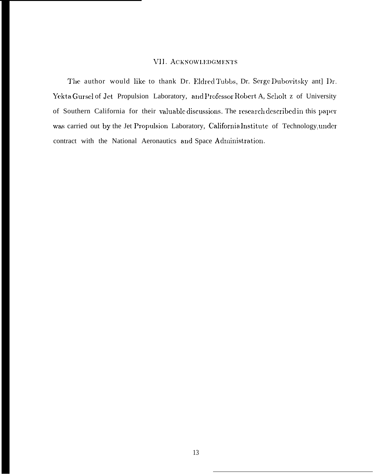#### VII. ACKNOWLEDGMENTS

The author would like to thank Dr. Eldred Tubbs, Dr. Serge Dubovitsky ant] Dr. Yekta Gursel of Jet Propulsion Laboratory, and Professor Robert A, Scholt z of University of Southern California for their valuable discussions. The research described in this paper was carried out by the Jet Propulsion Laboratory, California Institute of Technology, under contract with the National Aeronautics and Space Administration.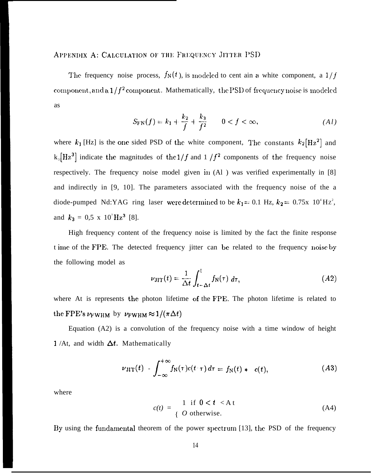#### APPENDIX A: CALCULATION OF THE FREQUENCY JITTER PSD

The frequency noise process,  $f_N(t)$ , is modeled to cent ain a white component, a  $1/f$ component, and a  $1/f^2$  component. Mathematically, the PSD of frequency noise is modeled as

$$
S_{\text{FN}}(f) = k_1 + \frac{k_2}{f} + \frac{k_3}{f^2} \qquad 0 < f < \infty,\tag{A1}
$$

where  $k_1$  [Hz] is the one sided PSD of the white component, The constants  $k_2$ [Hz<sup>2</sup>] and  $k_3 [Hz^3]$  indicate the magnitudes of the  $1/f$  and  $1/f^2$  components of the frequency noise respectively. The frequency noise model given in (Al ) was verified experimentally in [8] and indirectly in [9, 10]. The parameters associated with the frequency noise of the a diode-pumped Nd:YAG ring laser were determined to be  $k_1 = 0.1$  Hz,  $k_2 = 0.75$ x  $10^4$ Hz<sup>2</sup>, and  $k_3 = 0.5 \times 10^7$  Hz<sup>3</sup> [8].

High frequency content of the frequency noise is limited by the fact the finite response t ime of the FPE. The detected frequency jitter can be related to the frequency noise by the following model as

$$
\nu_{\text{JIT}}(t) = \frac{1}{\Delta t} \int_{t-\Delta t}^{t} f_{\text{N}}(\tau) \, d\tau,\tag{A2}
$$

where At is represents the photon lifetime of the FPE. The photon lifetime is related to the FPE's  $\nu_{\text{FWHM}}$  by  $\nu_{\text{FWHM}} \approx 1/(\pi \Delta t)$ 

Equation (A2) is a convolution of the frequency noise with a time window of height 1 /At, and width  $\Delta t$ . Mathematically

$$
\nu_{\text{JIT}}(t) = \int_{-\infty}^{+\infty} f_{\text{N}}(\tau) c(t \cdot \tau) d\tau = f_{\text{N}}(t) * c(t), \qquad (A3)
$$

where

$$
c(t) = \begin{cases} 1 & \text{if } 0 < t < \text{At} \\ 0 & \text{otherwise.} \end{cases} \tag{A4}
$$

By using the fundamental theorem of the power spectrum [13], the PSD of the frequency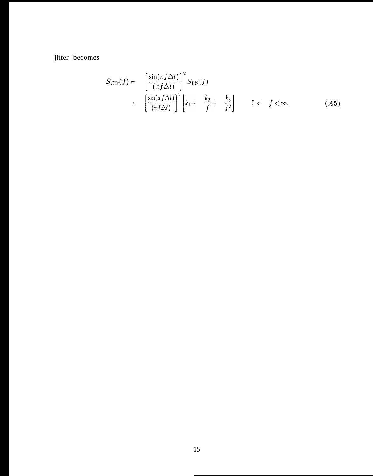jitter becomes

$$
S_{\text{JIT}}(f) = \left[\frac{\sin(\pi f \Delta t)}{(\pi f \Delta t)}\right]^2 S_{\text{FN}}(f)
$$
  
= 
$$
\left[\frac{\sin(\pi f \Delta t)}{(\pi f \Delta t)}\right]^2 \left[k_1 + \frac{k_2}{f} + \frac{k_3}{f^2}\right] \qquad 0 < f < \infty.
$$
 (A5)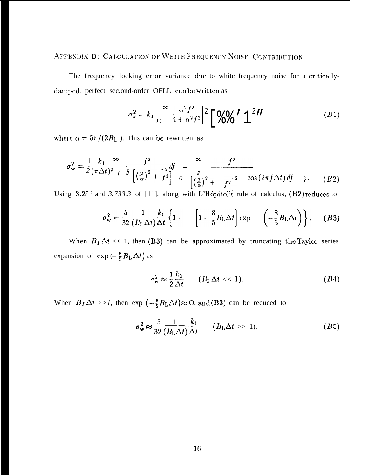### APPENDIX B: CALCULATION OF WHITE FREQUENCY NOISE CONTRIBUTION

The frequency locking error variance due to white frequency noise for a criticallydamped, perfect sec.ond-order OFLL can be written as

$$
\sigma_{\mathbf{w}}^2 = k_1 \sum_{J_0}^{\infty} \left| \frac{\alpha^2 f^2}{4 + \alpha^2 f^2} \right|^2 \left[ \begin{array}{c} \mathbf{Q} & \mathbf{Q} \\ \mathbf{Q} & \mathbf{Q} \end{array} \right]^2 H \tag{B1}
$$

where  $\alpha = 5\pi/(2B_{\rm L})$ . This can be rewritten as

$$
\sigma_{\mathbf{w}}^2 = \frac{1}{2} \frac{k_1}{(\pi \Delta t)^2} \int_{\mathcal{E}} \frac{f^2}{\int_{\mathcal{E}} \left[ \left( \frac{2}{\alpha} \right)^2 + \frac{r^2}{f^2} \right]} d\mathcal{E} \quad \sigma = \frac{f^2}{\left[ \left( \frac{2}{\alpha} \right)^2 + \frac{r^2}{f^2} \right]^2} \quad \cos\left(2\pi f \Delta t\right) df \quad \text{(B2)}
$$

Using 3.25 3 and 3.733.3 of [11], along with L'Hôpitol's rule of calculus, (B2) reduces to

$$
\sigma_{\mathbf{w}}^2 = \frac{5}{32} \frac{1}{(B_{\mathbf{L}} \Delta t)} \frac{k_1}{\Delta t} \left\{ 1 - \left[ 1 - \frac{8}{5} B_{\mathbf{L}} \Delta t \right] \exp \left( -\frac{8}{5} B_{\mathbf{L}} \Delta t \right) \right\}.
$$
 (B3)

When  $B_L \Delta t \ll 1$ , then (B3) can be approximated by truncating the Taylor series expansion of  $\exp(-\frac{8}{5}B_{\rm L}\Delta t)$  as

$$
\sigma_{\mathbf{w}}^2 \approx \frac{1}{2} \frac{k_1}{\Delta t} \qquad (B_1, \Delta t \ll 1). \tag{B4}
$$

When  $B_L \Delta t >>1$ , then  $\exp(-\frac{8}{5}B_L \Delta t) \approx O$ , and (B3) can be reduced to

$$
\sigma_{\mathbf{w}}^2 \approx \frac{5}{32} \frac{1}{\overline{(B_{\mathrm{L}} \Delta t)}} \frac{k_1}{\Delta t} \qquad (B_{\mathrm{L}} \Delta t \gg 1). \tag{B5}
$$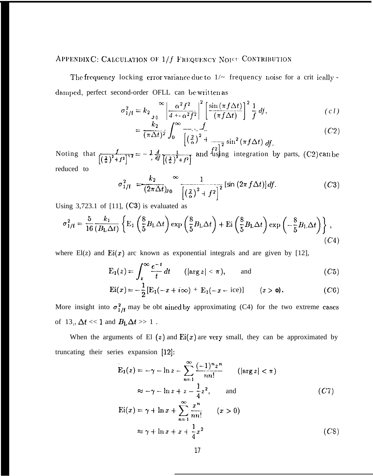## APPENDIX C: CALCULATION OF 1/f FREQUENCY NOISE CONTRIBUTION

The frequency locking error variance due to  $1/-$  frequency noise for a crit ically damped, perfect second-order OFLL can be written as

$$
\sigma_{1/f}^2 = k_2 \int_{\sigma_0}^{\infty} \left| \frac{\alpha^2 f^2}{4 + \alpha^2 f^2} \right|^2 \left[ \frac{\sin(\pi f \Delta t)}{(\pi f \Delta t)} \right]^2 \frac{1}{f} df,
$$
\n(c l)

$$
= \frac{\kappa_2}{(\pi \Delta t)^2} \int_0^\infty \frac{f}{\left[\left(\frac{2}{\alpha}\right)^2 + \frac{f}{\left(\frac{2}{\alpha}\right)^2} \sin^2\left(\pi f \Delta t\right) df}.\tag{C2}
$$

Noting that  $\int_{\left[\frac{2}{\alpha}\right]^2 + f^2}^{f^2} = -\frac{1}{2} \frac{d}{df} \frac{1}{\left[\frac{2}{\alpha}\right]^2 + f^2}$  and using integration by parts, (C2) can be reduced to

$$
\sigma_{1/f}^2 = \frac{k_2}{(2\pi\Delta t)_{J0}} \sum_{\left[\left(\frac{2}{\alpha}\right)^2 + f^2\right]^2}^{1} [\sin(2\pi f \Delta t)] df. \tag{C3}
$$

Using  $3,723.1$  of [11],  $(C3)$  is evaluated as

$$
\sigma_{1/f}^2 = \frac{5}{16} \frac{k_1}{(B_L \Delta t)} \left\{ \mathbf{E}_1 \left( \frac{8}{5} B_L \Delta t \right) \exp \left( \frac{8}{5} B_L \Delta t \right) + \mathbf{E}_1 \left( \frac{8}{5} B_L \Delta t \right) \exp \left( -\frac{8}{5} B_L \Delta t \right) \right\},\tag{C4}
$$

where  $E(z)$  and  $Ei(x)$  arc known as exponential integrals and are given by [12],

$$
E_1(z) = \int_z^{\infty} \frac{e^{-t}}{t} dt \qquad (|\arg z| < \pi), \qquad \text{and} \tag{C5}
$$

$$
Ei(x) = -\frac{1}{2} [E_1(-x + i\infty) + E_1(-x - i\infty)] \qquad (x > 0).
$$
 (C6)

More insight into  $\sigma_{1/f}^2$  may be obt ained by approximating (C4) for the two extreme cases of 13,  $\Delta t \ll 1$  and  $B_{\rm L} \Delta t \gg 1$ .

When the arguments of El  $(z)$  and Ei $(x)$  are very small, they can be approximated by truncating their series expansion [12]:

$$
E_1(z) = -\gamma - \ln z - \sum_{n=1}^{\infty} \frac{(-1)^n z^n}{n n!} \qquad (\left|\arg z\right| < \pi)
$$
\n
$$
\approx -\gamma - \ln z + z - \frac{1}{4} z^2, \qquad \text{and}
$$
\n
$$
Ei(x) = \gamma + \ln x + \sum_{n=1}^{\infty} \frac{x^n}{n n!} \qquad (x > 0)
$$
\n
$$
\approx \gamma + \ln x + x + \frac{1}{4} x^2 \qquad (CS)
$$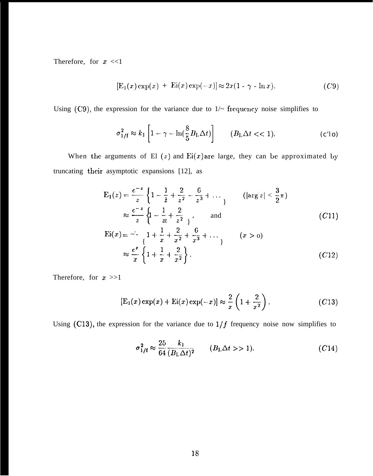Therefore, for  $x \ll 1$ 

$$
[E_1(x) \exp(x) + Ei(x) \exp(-x)] \approx 2x(1 - \gamma - \ln x). \tag{C9}
$$

Using (C9), the expression for the variance due to  $1/-$  frequency noise simplifies to

$$
\sigma_{1/f}^2 \approx k_1 \left[ 1 - \gamma - \ln\left(\frac{8}{5} B_{\text{I}} \Delta t\right) \right] \qquad (B_{\text{I}} \Delta t < \lt 1). \tag{c'lo}
$$

When the arguments of El  $(z)$  and Ei $(x)$  are large, they can be approximated by truncating their asymptotic expansions [12], as

$$
E_1(z) = \frac{e^{-z}}{z} \left\{ 1 - \frac{1}{2} + \frac{2}{z^2} - \frac{6}{z^3} + \dots \right\} \qquad (\left| \arg z \right| < \frac{3}{2}\pi)
$$
\n
$$
\approx \frac{e^{-z}}{z} \left\{ 1 - \frac{1}{zz} + \frac{2}{z^2} \right\}, \qquad \text{and} \qquad (C11)
$$
\n
$$
Ei(x) = \frac{1}{z} \left\{ 1 + \frac{1}{x} + \frac{2}{x^2} + \frac{6}{x^3} + \dots \right\} \qquad (x > 0)
$$
\n
$$
\approx \frac{e^z}{x} \left\{ 1 + \frac{1}{x} + \frac{2}{x^2} \right\}. \qquad (C12)
$$

Therefore, for  $x \gg 1$ 

$$
[\mathcal{E}_1(x)\exp(x)+\mathcal{E}_1(x)\exp(-x)]\approx\frac{2}{x}\left(1+\frac{2}{x^2}\right). \hspace{1.5cm} (C13)
$$

Using (C13), the expression for the variance due to  $1/f$  frequency noise now simplifies to

$$
\sigma_{1/f}^2 \approx \frac{25}{64} \frac{k_1}{(B_L \Delta t)^2} \qquad (B_L \Delta t > 1). \tag{C14}
$$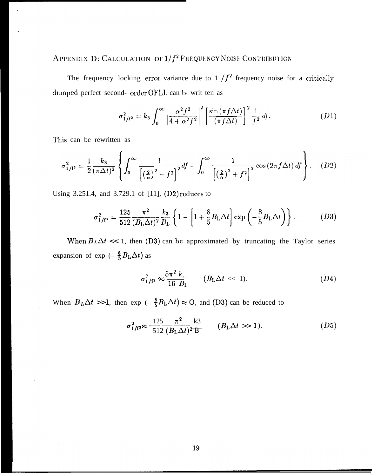## APPENDIX D: CALCULATION OF  $1/f^2$  FREQUENCY NOISE CONTRIBUTION

The frequency locking error variance due to  $1/f<sup>2</sup>$  frequency noise for a criticallydamped perfect second- order OFLL can be writ ten as

$$
\sigma_{1/f^2}^2 = k_3 \int_0^\infty \left| \frac{\alpha^2 f^2}{4 + \alpha^2 f^2} \right|^2 \left[ \frac{\sin(\pi f \Delta t)}{(\pi f \Delta t)} \right]^2 \frac{1}{f^2} df. \tag{D1}
$$

This can be rewritten as

$$
\sigma_{1/f^2}^2 = \frac{1}{2} \frac{k_3}{(\pi \Delta t)^2} \left\{ \int_0^\infty \frac{1}{\left[ \left( \frac{2}{\alpha} \right)^2 + f^2 \right]^2} df - \int_0^\infty \frac{1}{\left[ \left( \frac{2}{\alpha} \right)^2 + f^2 \right]^2} \cos \left( 2 \pi f \Delta t \right) df \right\}.
$$
 (D2)

Using 3.251.4, and 3.729.1 of  $[11]$ ,  $(D2)$  reduces to

$$
\sigma_{1/f^2}^2 = \frac{125}{512} \frac{\pi^2}{(B_L \Delta t)^2} \frac{k_3}{B_L} \left\{ 1 - \left[ 1 + \frac{8}{5} B_L \Delta t \right] \exp \left( -\frac{8}{5} B_L \Delta t \right) \right\}.
$$
 (D3)

When  $B_L \Delta t \ll 1$ , then (D3) can be approximated by truncating the Taylor series expansion of exp ( $-\frac{8}{5}B_L\Delta t$ ) as

$$
\sigma_{1/f^2}^2 \approx \frac{5\pi^2 k_{s-}}{16 B_{\text{L}}} \qquad (B_{\text{L}}\Delta t \ll 1). \tag{D4}
$$

When  $B_L \Delta t >>1$ , then exp  $\left(-\frac{8}{5}B_L \Delta t\right) \approx O$ , and (D3) can be reduced to

$$
\sigma_{1/I^2}^2 \approx \frac{125}{512} \frac{\pi^2}{(B_L \Delta t)^2} \frac{\text{k3}}{\text{B}_L} \qquad (B_L \Delta t \gg 1). \tag{D5}
$$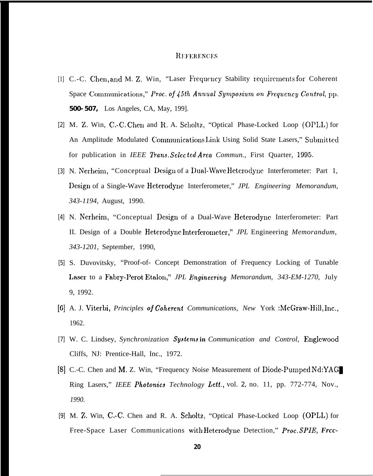#### **REFERENCES**

- [1] C.-C. Chen, and M. Z. Win, "Laser Frequency Stability requirements for Coherent Space Communications," Proc. of 45th Annual Symposium on Frequency Control, pp. 500-507, Los Angeles, CA, May, 199].
- [2] M. Z. Win, C.-C. Chen and R. A. Scholtz, "Optical Phase-Locked Loop (OPLL) for An Amplitude Modulated Communications Link Using Solid State Lasers," Submitted for publication in IEEE Trans. Selected Area Commun., First Quarter, 1995.
- [3] N. Nerheim, "Conceptual Design of a Dual-Wave Heterodyne Interferometer: Part 1, Design of a Single-Wave Heterodyne Interferometer," JPL Engineering Memorandum, 343-1194, August, 1990.
- [4] N. Nerheim, "Conceptual Design of a Dual-Wave Heterodyne Interferometer: Part II. Design of a Double Heterodyne Interferometer," JPL Engineering Memorandum, 343-1201, September, 1990,
- [5] S. Duvovitsky, "Proof-of- Concept Demonstration of Frequency Locking of Tunable Laser to a Fabry-Perot Etalon," JPL Engineering Memorandum, 343-EM-1270, July 9, 1992.
- [6] A. J. Viterbi, *Principles of Coherent Communications*, *New* York :McGraw-Hill, Inc., 1962.
- [7] W. C. Lindsey, Synchronization Systems in Communication and Control, Englewood Cliffs, NJ: Prentice-Hall, Inc., 1972.
- [8] C.-C. Chen and M. Z. Win, "Frequency Noise Measurement of Diode-Pumped Nd:YAG Ring Lasers," IEEE Photonics Technology Lett., vol. 2, no. 11, pp. 772-774, Nov., 1990.
- [9] M. Z. Win, C.-C. Chen and R. A. Scholtz, "Optical Phase-Locked Loop (OPLL) for Free-Space Laser Communications with Heterodyne Detection," Proc. SPIE, Frcc-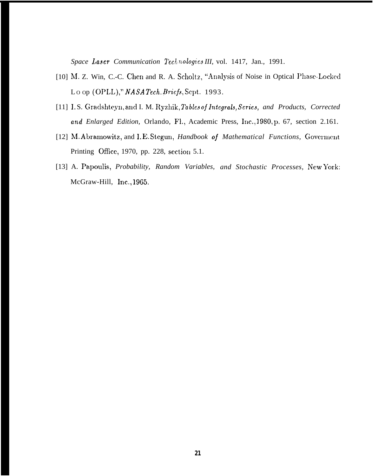Space Laser Communication Technologies III, vol. 1417, Jan., 1991.

- [10] M. Z. Win, C.-C. Chen and R. A. Scholtz, "Analysis of Noise in Optical Phase-Locked Loop (OPLL)," NASA Tech. Briefs, Sept. 1993.
- [11] I.S. Gradshteyn, and I. M. Ryzhik, Tables of Integrals, Series, and Products, Corrected and Enlarged Edition, Orlando, Fl., Academic Press, Inc., 1980, p. 67, section 2.161.
- [12] M. Abramowitz, and I.E. Stegun, Handbook of Mathematical Functions, Goverment Printing Office, 1970, pp. 228, section 5.1.
- [13] A. Papoulis, Probability, Random Variables, and Stochastic Processes, New York: McGraw-Hill, Inc., 1965.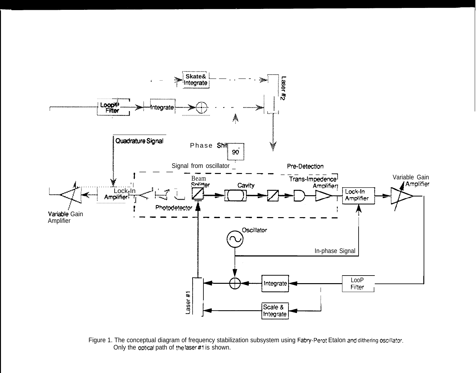

Figure 1. The conceptual diagram of frequency stabilization subsystem using Fabry-Perot Etalon and dithering oscillator.<br>Only the optical path of the laser #1 is shown.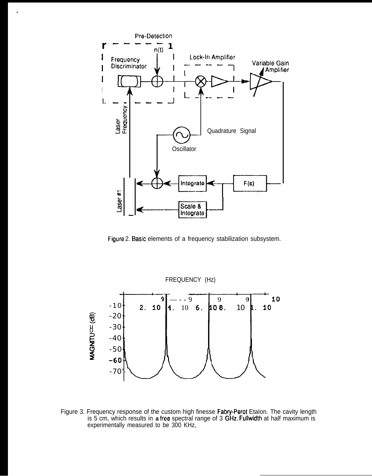

 $\mathbf{r}$ 

Figure 2. Basic elements of a frequency stabilization subsystem.



Figure 3. Frequency response of the custom high finesse Fabry-Perot Etalon. The cavity length is 5 cm, which results in a free spectral range of 3 GHz. Fullwidth at half maximum is experimentally measured to be 300 KHz,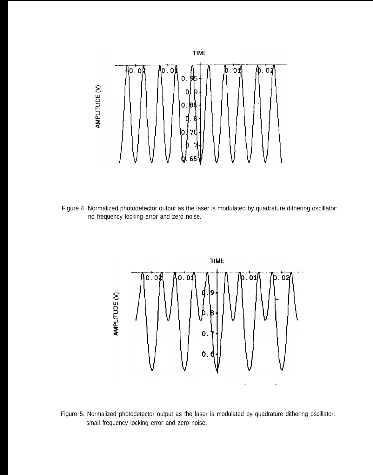

Figure 4. Normalized photodetector output as the laser is modulated by quadrature dithering oscillator: no frequency locking error and zero noise.



Figure 5. Normalized photodetector output as the laser is modulated by quadrature dithering oscillator: small frequency locking error and zero noise.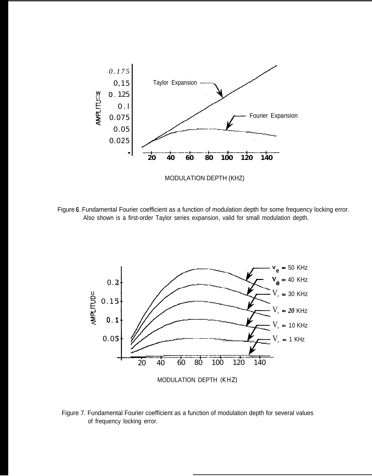

Figure 6. Fundamental Fourier coefficient as a function of modulation depth for some frequency locking error. Also shown is a first-order Taylor series expansion, valid for small modulation depth.



Figure 7. Fundamental Fourier coefficient as a function of modulation depth for several values of frequency locking error.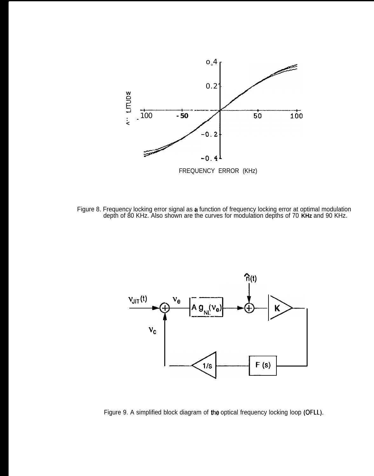

Figure 8. Frequency locking error signal as a function of frequency locking error at optimal modulation depth of 80 KHz. Also shown are the curves for modulation depths of 70 **KHz** and 90 KHz.



Figure 9. A simplified block diagram of the optical frequency locking loop (OFLL).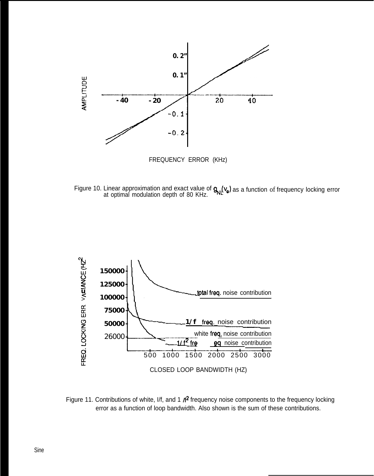

Figure 10. Linear approximation and exact value of at optimal modulation depth of 80 KHz.  $Q_{\scriptscriptstyle\rm{NII}}(V_{\scriptscriptstyle\rm{G}})$  as a function of frequency locking error



Figure 11. Contributions of white, I/f, and 1  $\textit{M}^2$  frequency noise components to the frequency locking error as a function of loop bandwidth. Also shown is the sum of these contributions.